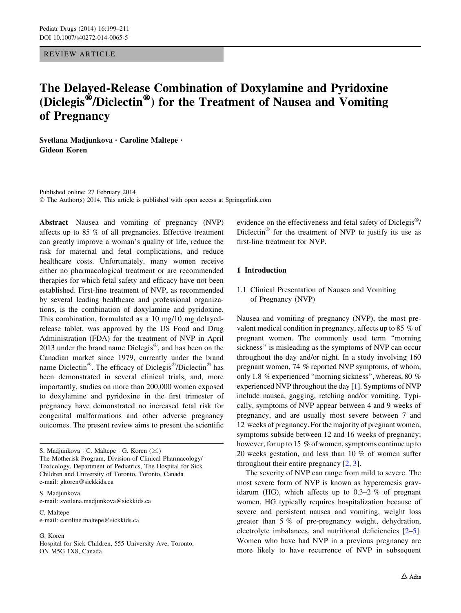REVIEW ARTICLE

# The Delayed-Release Combination of Doxylamine and Pyridoxine (Diclegis<sup>®</sup>/Diclectin<sup>®</sup>) for the Treatment of Nausea and Vomiting of Pregnancy

Svetlana Madjunkova • Caroline Maltepe • Gideon Koren

Published online: 27 February 2014 © The Author(s) 2014. This article is published with open access at Springerlink.com

Abstract Nausea and vomiting of pregnancy (NVP) affects up to 85 % of all pregnancies. Effective treatment can greatly improve a woman's quality of life, reduce the risk for maternal and fetal complications, and reduce healthcare costs. Unfortunately, many women receive either no pharmacological treatment or are recommended therapies for which fetal safety and efficacy have not been established. First-line treatment of NVP, as recommended by several leading healthcare and professional organizations, is the combination of doxylamine and pyridoxine. This combination, formulated as a 10 mg/10 mg delayedrelease tablet, was approved by the US Food and Drug Administration (FDA) for the treatment of NVP in April 2013 under the brand name  $Diclegis^{\circledast}$ , and has been on the Canadian market since 1979, currently under the brand name Diclectin<sup>®</sup>. The efficacy of Diclegis<sup>®</sup>/Diclectin<sup>®</sup> has been demonstrated in several clinical trials, and, more importantly, studies on more than 200,000 women exposed to doxylamine and pyridoxine in the first trimester of pregnancy have demonstrated no increased fetal risk for congenital malformations and other adverse pregnancy outcomes. The present review aims to present the scientific

S. Madjunkova e-mail: svetlana.madjunkova@sickkids.ca

C. Maltepe e-mail: caroline.maltepe@sickkids.ca

G. Koren Hospital for Sick Children, 555 University Ave, Toronto, ON M5G 1X8, Canada

evidence on the effectiveness and fetal safety of Diclegis<sup>®</sup>/ Diclectin<sup>®</sup> for the treatment of NVP to justify its use as first-line treatment for NVP.

## 1 Introduction

### 1.1 Clinical Presentation of Nausea and Vomiting of Pregnancy (NVP)

Nausea and vomiting of pregnancy (NVP), the most prevalent medical condition in pregnancy, affects up to 85 % of pregnant women. The commonly used term ''morning sickness'' is misleading as the symptoms of NVP can occur throughout the day and/or night. In a study involving 160 pregnant women, 74 % reported NVP symptoms, of whom, only 1.8 % experienced ''morning sickness'', whereas, 80 % experienced NVP throughout the day [\[1](#page-10-0)]. Symptoms of NVP include nausea, gagging, retching and/or vomiting. Typically, symptoms of NVP appear between 4 and 9 weeks of pregnancy, and are usually most severe between 7 and 12 weeks of pregnancy. For the majority of pregnant women, symptoms subside between 12 and 16 weeks of pregnancy; however, for up to 15 % of women, symptoms continue up to 20 weeks gestation, and less than 10 % of women suffer throughout their entire pregnancy [\[2](#page-10-0), [3](#page-10-0)].

The severity of NVP can range from mild to severe. The most severe form of NVP is known as hyperemesis gravidarum (HG), which affects up to  $0.3-2\%$  of pregnant women. HG typically requires hospitalization because of severe and persistent nausea and vomiting, weight loss greater than 5 % of pre-pregnancy weight, dehydration, electrolyte imbalances, and nutritional deficiencies [\[2–5](#page-10-0)]. Women who have had NVP in a previous pregnancy are more likely to have recurrence of NVP in subsequent

S. Madjunkova · C. Maltepe · G. Koren ( $\boxtimes$ ) The Motherisk Program, Division of Clinical Pharmacology/ Toxicology, Department of Pediatrics, The Hospital for Sick Children and University of Toronto, Toronto, Canada e-mail: gkoren@sickkids.ca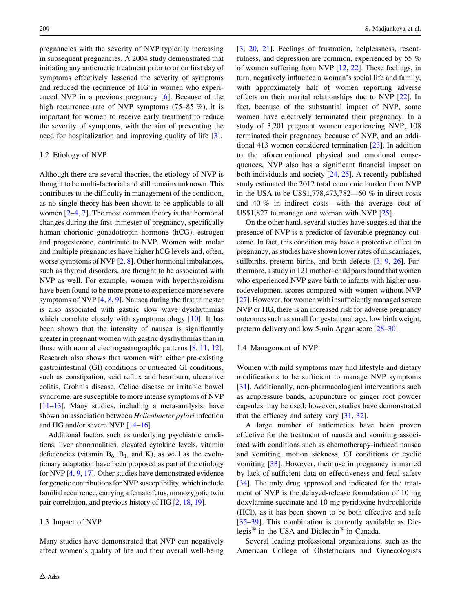pregnancies with the severity of NVP typically increasing in subsequent pregnancies. A 2004 study demonstrated that initiating any antiemetic treatment prior to or on first day of symptoms effectively lessened the severity of symptoms and reduced the recurrence of HG in women who experienced NVP in a previous pregnancy [[6\]](#page-10-0). Because of the high recurrence rate of NVP symptoms (75–85 %), it is important for women to receive early treatment to reduce the severity of symptoms, with the aim of preventing the need for hospitalization and improving quality of life [\[3](#page-10-0)].

#### 1.2 Etiology of NVP

Although there are several theories, the etiology of NVP is thought to be multi-factorial and still remains unknown. This contributes to the difficulty in management of the condition, as no single theory has been shown to be applicable to all women [\[2–4](#page-10-0), [7\]](#page-10-0). The most common theory is that hormonal changes during the first trimester of pregnancy, specifically human chorionic gonadotropin hormone (hCG), estrogen and progesterone, contribute to NVP. Women with molar and multiple pregnancies have higher hCG levels and, often, worse symptoms of NVP [[2,](#page-10-0) [8](#page-10-0)]. Other hormonal imbalances, such as thyroid disorders, are thought to be associated with NVP as well. For example, women with hyperthyroidism have been found to be more prone to experience more severe symptoms of NVP  $[4, 8, 9]$  $[4, 8, 9]$  $[4, 8, 9]$  $[4, 8, 9]$  $[4, 8, 9]$  $[4, 8, 9]$ . Nausea during the first trimester is also associated with gastric slow wave dysrhythmias which correlate closely with symptomatology [\[10](#page-11-0)]. It has been shown that the intensity of nausea is significantly greater in pregnant women with gastric dysrhythmias than in those with normal electrogastrographic patterns [\[8](#page-10-0), [11](#page-11-0), [12](#page-11-0)]. Research also shows that women with either pre-existing gastrointestinal (GI) conditions or untreated GI conditions, such as constipation, acid reflux and heartburn, ulcerative colitis, Crohn's disease, Celiac disease or irritable bowel syndrome, are susceptible to more intense symptoms of NVP [\[11–13](#page-11-0)]. Many studies, including a meta-analysis, have shown an association between Helicobacter pylori infection and HG and/or severe NVP [[14–16\]](#page-11-0).

Additional factors such as underlying psychiatric conditions, liver abnormalities, elevated cytokine levels, vitamin deficiencies (vitamin  $B_6$ ,  $B_1$ , and K), as well as the evolutionary adaptation have been proposed as part of the etiology for NVP [\[4](#page-10-0), [9,](#page-10-0) [17](#page-11-0)]. Other studies have demonstrated evidence for genetic contributions for NVP susceptibility, which include familial recurrence, carrying a female fetus, monozygotic twin pair correlation, and previous history of HG [[2,](#page-10-0) [18](#page-11-0), [19\]](#page-11-0).

#### 1.3 Impact of NVP

Many studies have demonstrated that NVP can negatively affect women's quality of life and their overall well-being [\[3](#page-10-0), [20,](#page-11-0) [21](#page-11-0)]. Feelings of frustration, helplessness, resentfulness, and depression are common, experienced by 55 % of women suffering from NVP [[12,](#page-11-0) [22](#page-11-0)]. These feelings, in turn, negatively influence a woman's social life and family, with approximately half of women reporting adverse effects on their marital relationships due to NVP [\[22](#page-11-0)]. In fact, because of the substantial impact of NVP, some women have electively terminated their pregnancy. In a study of 3,201 pregnant women experiencing NVP, 108 terminated their pregnancy because of NVP, and an additional 413 women considered termination [\[23](#page-11-0)]. In addition to the aforementioned physical and emotional consequences, NVP also has a significant financial impact on both individuals and society [\[24](#page-11-0), [25](#page-11-0)]. A recently published study estimated the 2012 total economic burden from NVP in the USA to be US\$1,778,473,782—60 % in direct costs and 40 % in indirect costs—with the average cost of US\$1,827 to manage one woman with NVP [\[25](#page-11-0)].

On the other hand, several studies have suggested that the presence of NVP is a predictor of favorable pregnancy outcome. In fact, this condition may have a protective effect on pregnancy, as studies have shown lower rates of miscarriages, stillbirths, preterm births, and birth defects [\[3](#page-10-0), [9](#page-10-0), [26](#page-11-0)]. Furthermore, a study in 121 mother–child pairs found that women who experienced NVP gave birth to infants with higher neurodevelopment scores compared with women without NVP [\[27](#page-11-0)]. However, for women with insufficiently managed severe NVP or HG, there is an increased risk for adverse pregnancy outcomes such as small for gestational age, low birth weight, preterm delivery and low 5-min Apgar score [[28–30](#page-11-0)].

#### 1.4 Management of NVP

Women with mild symptoms may find lifestyle and dietary modifications to be sufficient to manage NVP symptoms [\[31](#page-11-0)]. Additionally, non-pharmacological interventions such as acupressure bands, acupuncture or ginger root powder capsules may be used; however, studies have demonstrated that the efficacy and safety vary [[31,](#page-11-0) [32](#page-11-0)].

A large number of antiemetics have been proven effective for the treatment of nausea and vomiting associated with conditions such as chemotherapy-induced nausea and vomiting, motion sickness, GI conditions or cyclic vomiting [\[33](#page-11-0)]. However, their use in pregnancy is marred by lack of sufficient data on effectiveness and fetal safety [\[34](#page-11-0)]. The only drug approved and indicated for the treatment of NVP is the delayed-release formulation of 10 mg doxylamine succinate and 10 mg pyridoxine hydrochloride (HCl), as it has been shown to be both effective and safe [\[35–39](#page-11-0)]. This combination is currently available as Diclegis $\mathscr{B}$  in the USA and Diclectin $\mathscr{B}$  in Canada.

Several leading professional organizations, such as the American College of Obstetricians and Gynecologists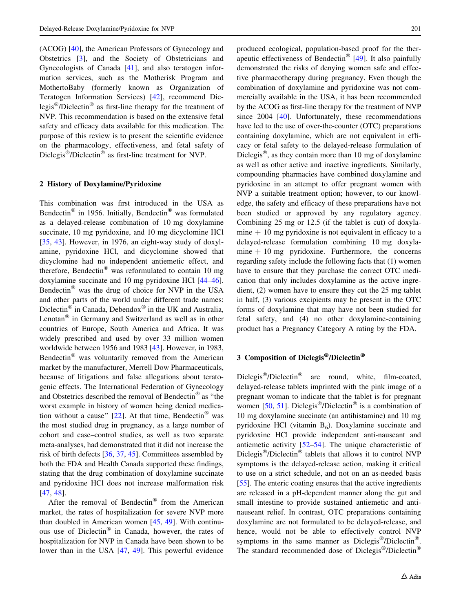(ACOG) [[40\]](#page-11-0), the American Professors of Gynecology and Obstetrics [\[3](#page-10-0)], and the Society of Obstetricians and Gynecologists of Canada [[41\]](#page-11-0), and also teratogen information services, such as the Motherisk Program and MothertoBaby (formerly known as Organization of Teratogen Information Services) [[42\]](#page-11-0), recommend Diclegis<sup>®</sup>/Diclectin<sup>®</sup> as first-line therapy for the treatment of NVP. This recommendation is based on the extensive fetal safety and efficacy data available for this medication. The purpose of this review is to present the scientific evidence on the pharmacology, effectiveness, and fetal safety of Diclegis<sup>®</sup>/Diclectin<sup>®</sup> as first-line treatment for NVP.

#### 2 History of Doxylamine/Pyridoxine

This combination was first introduced in the USA as Bendectin<sup>®</sup> in 1956. Initially, Bendectin<sup>®</sup> was formulated as a delayed-release combination of 10 mg doxylamine succinate, 10 mg pyridoxine, and 10 mg dicyclomine HCl [\[35](#page-11-0), [43](#page-11-0)]. However, in 1976, an eight-way study of doxylamine, pyridoxine HCl, and dicyclomine showed that dicyclomine had no independent antiemetic effect, and therefore, Bendectin<sup>®</sup> was reformulated to contain 10 mg doxylamine succinate and 10 mg pyridoxine HCl [\[44–46](#page-11-0)]. Bendectin<sup>®</sup> was the drug of choice for NVP in the USA and other parts of the world under different trade names: Diclectin<sup>®</sup> in Canada, Debendox<sup>®</sup> in the UK and Australia, Lenotan $^{\circledR}$  in Germany and Switzerland as well as in other countries of Europe, South America and Africa. It was widely prescribed and used by over 33 million women worldwide between 1956 and 1983 [[43\]](#page-11-0). However, in 1983, Bendectin<sup>®</sup> was voluntarily removed from the American market by the manufacturer, Merrell Dow Pharmaceuticals, because of litigations and false allegations about teratogenic effects. The International Federation of Gynecology and Obstetrics described the removal of Bendectin<sup>®</sup> as "the worst example in history of women being denied medication without a cause"  $[22]$  $[22]$ . At that time, Bendectin<sup>®</sup> was the most studied drug in pregnancy, as a large number of cohort and case–control studies, as well as two separate meta-analyses, had demonstrated that it did not increase the risk of birth defects [\[36](#page-11-0), [37](#page-11-0), [45](#page-11-0)]. Committees assembled by both the FDA and Health Canada supported these findings, stating that the drug combination of doxylamine succinate and pyridoxine HCl does not increase malformation risk [\[47](#page-11-0), [48](#page-11-0)].

After the removal of Bendectin<sup>®</sup> from the American market, the rates of hospitalization for severe NVP more than doubled in American women [\[45](#page-11-0), [49](#page-11-0)]. With continuous use of Diclectin<sup>®</sup> in Canada, however, the rates of hospitalization for NVP in Canada have been shown to be lower than in the USA [[47,](#page-11-0) [49](#page-11-0)]. This powerful evidence

produced ecological, population-based proof for the ther-apeutic effectiveness of Bendectin<sup>®</sup> [[49\]](#page-11-0). It also painfully demonstrated the risks of denying women safe and effective pharmacotherapy during pregnancy. Even though the combination of doxylamine and pyridoxine was not commercially available in the USA, it has been recommended by the ACOG as first-line therapy for the treatment of NVP since 2004 [\[40](#page-11-0)]. Unfortunately, these recommendations have led to the use of over-the-counter (OTC) preparations containing doxylamine, which are not equivalent in efficacy or fetal safety to the delayed-release formulation of Diclegis<sup>®</sup>, as they contain more than 10 mg of doxylamine as well as other active and inactive ingredients. Similarly, compounding pharmacies have combined doxylamine and pyridoxine in an attempt to offer pregnant women with NVP a suitable treatment option; however, to our knowledge, the safety and efficacy of these preparations have not been studied or approved by any regulatory agency. Combining 25 mg or 12.5 (if the tablet is cut) of doxylamine  $+10$  mg pyridoxine is not equivalent in efficacy to a delayed-release formulation combining 10 mg doxylamine  $+10$  mg pyridoxine. Furthermore, the concerns regarding safety include the following facts that (1) women have to ensure that they purchase the correct OTC medication that only includes doxylamine as the active ingredient, (2) women have to ensure they cut the 25 mg tablet in half, (3) various excipients may be present in the OTC forms of doxylamine that may have not been studied for fetal safety, and (4) no other doxylamine-containing product has a Pregnancy Category A rating by the FDA.

# 3 Composition of Diclegis®/Diclectin®

Diclegis<sup>®</sup>/Diclectin<sup>®</sup> are round, white, film-coated, delayed-release tablets imprinted with the pink image of a pregnant woman to indicate that the tablet is for pregnant women [\[50](#page-11-0), [51\]](#page-12-0). Diclegis<sup>®</sup>/Diclectin<sup>®</sup> is a combination of 10 mg doxylamine succinate (an antihistamine) and 10 mg pyridoxine HCl (vitamin  $B_6$ ). Doxylamine succinate and pyridoxine HCl provide independent anti-nauseant and antiemetic activity [[52–54\]](#page-12-0). The unique characteristic of Diclegis<sup>®</sup>/Diclectin<sup>®</sup> tablets that allows it to control NVP symptoms is the delayed-release action, making it critical to use on a strict schedule, and not on an as-needed basis [\[55](#page-12-0)]. The enteric coating ensures that the active ingredients are released in a pH-dependent manner along the gut and small intestine to provide sustained antiemetic and antinauseant relief. In contrast, OTC preparations containing doxylamine are not formulated to be delayed-release, and hence, would not be able to effectively control NVP symptoms in the same manner as  $Diclegis^{\circledast}/Diclection^{\circledast}$ . The standard recommended dose of Diclegis<sup>®</sup>/Diclectin<sup>®</sup>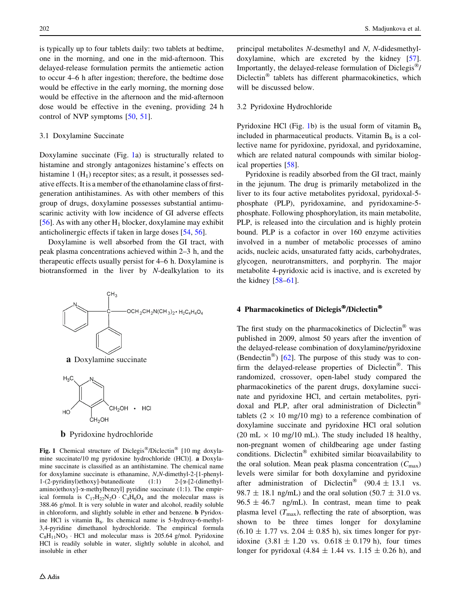is typically up to four tablets daily: two tablets at bedtime, one in the morning, and one in the mid-afternoon. This delayed-release formulation permits the antiemetic action to occur 4–6 h after ingestion; therefore, the bedtime dose would be effective in the early morning, the morning dose would be effective in the afternoon and the mid-afternoon dose would be effective in the evening, providing 24 h control of NVP symptoms [\[50](#page-11-0), [51](#page-12-0)].

#### 3.1 Doxylamine Succinate

Doxylamine succinate (Fig. 1a) is structurally related to histamine and strongly antagonizes histamine's effects on histamine 1  $(H<sub>1</sub>)$  receptor sites; as a result, it possesses sedative effects. It is a member of the ethanolamine class of firstgeneration antihistamines. As with other members of this group of drugs, doxylamine possesses substantial antimuscarinic activity with low incidence of GI adverse effects [\[56](#page-12-0)]. As with any other  $H_1$  blocker, doxylamine may exhibit anticholinergic effects if taken in large doses [[54,](#page-12-0) [56\]](#page-12-0).

Doxylamine is well absorbed from the GI tract, with peak plasma concentrations achieved within 2–3 h, and the therapeutic effects usually persist for 4–6 h. Doxylamine is biotransformed in the liver by N-dealkylation to its





**b** Pyridoxine hydrochloride

Fig. 1 Chemical structure of Diclegis®/Diclectin® [10 mg doxylamine succinate/10 mg pyridoxine hydrochloride (HCl)]. a Doxylamine succinate is classified as an antihistamine. The chemical name for doxylamine succinate is ethanamine, N,N-dimethyl-2-[1-phenyl-1-(2-pyridinyl)ethoxy]-butanedioate (1:1) 2-[a-[2-(dimethylamino)ethoxy]- $\alpha$ -methylbenzyl] pyridine succinate (1:1). The empirical formula is  $C_{17}H_{22}N_2O \cdot C_4H_6O_4$  and the molecular mass is 388.46 g/mol. It is very soluble in water and alcohol, readily soluble in chloroform, and slightly soluble in ether and benzene. b Pyridoxine HCl is vitamin  $B_6$ . Its chemical name is 5-hydroxy-6-methyl-3,4-pyridine dimethanol hydrochloride. The empirical formula  $C_8H_{11}NO_3 \cdot HCl$  and molecular mass is 205.64 g/mol. Pyridoxine HCl is readily soluble in water, slightly soluble in alcohol, and insoluble in ether

principal metabolites N-desmethyl and N, N-didesmethyldoxylamine, which are excreted by the kidney [\[57](#page-12-0)]. Importantly, the delayed-release formulation of Diclegis<sup>®</sup>/ Diclectin $^{\circledR}$  tablets has different pharmacokinetics, which will be discussed below.

#### 3.2 Pyridoxine Hydrochloride

Pyridoxine HCl (Fig. 1b) is the usual form of vitamin  $B_6$ included in pharmaceutical products. Vitamin  $B<sub>6</sub>$  is a collective name for pyridoxine, pyridoxal, and pyridoxamine, which are related natural compounds with similar biological properties [[58\]](#page-12-0).

Pyridoxine is readily absorbed from the GI tract, mainly in the jejunum. The drug is primarily metabolized in the liver to its four active metabolites pyridoxal, pyridoxal-5 phosphate (PLP), pyridoxamine, and pyridoxamine-5 phosphate. Following phosphorylation, its main metabolite, PLP, is released into the circulation and is highly protein bound. PLP is a cofactor in over 160 enzyme activities involved in a number of metabolic processes of amino acids, nucleic acids, unsaturated fatty acids, carbohydrates, glycogen, neurotransmitters, and porphyrin. The major metabolite 4-pyridoxic acid is inactive, and is excreted by the kidney  $[58-61]$ .

# 4 Pharmacokinetics of Diclegis®/Diclectin®

The first study on the pharmacokinetics of Diclectin<sup> $\infty$ </sup> was published in 2009, almost 50 years after the invention of the delayed-release combination of doxylamine/pyridoxine (Bendectin<sup>®</sup>) [\[62](#page-12-0)]. The purpose of this study was to confirm the delayed-release properties of Diclectin<sup>®</sup>. This randomized, crossover, open-label study compared the pharmacokinetics of the parent drugs, doxylamine succinate and pyridoxine HCl, and certain metabolites, pyridoxal and PLP, after oral administration of Diclectin tablets  $(2 \times 10 \text{ mg}/10 \text{ mg})$  to a reference combination of doxylamine succinate and pyridoxine HCl oral solution (20 mL  $\times$  10 mg/10 mL). The study included 18 healthy, non-pregnant women of childbearing age under fasting conditions. Diclectin<sup>®</sup> exhibited similar bioavailability to the oral solution. Mean peak plasma concentration  $(C_{\text{max}})$ levels were similar for both doxylamine and pyridoxine after administration of Diclectin<sup>®</sup> (90.4  $\pm$  13.1 vs. 98.7  $\pm$  18.1 ng/mL) and the oral solution (50.7  $\pm$  31.0 vs.  $96.5 \pm 46.7$  ng/mL). In contrast, mean time to peak plasma level  $(T_{\text{max}})$ , reflecting the rate of absorption, was shown to be three times longer for doxylamine  $(6.10 \pm 1.77 \text{ vs. } 2.04 \pm 0.85 \text{ h})$ , six times longer for pyridoxine  $(3.81 \pm 1.20 \text{ vs. } 0.618 \pm 0.179 \text{ h})$ , four times longer for pyridoxal  $(4.84 \pm 1.44 \text{ vs. } 1.15 \pm 0.26 \text{ h})$ , and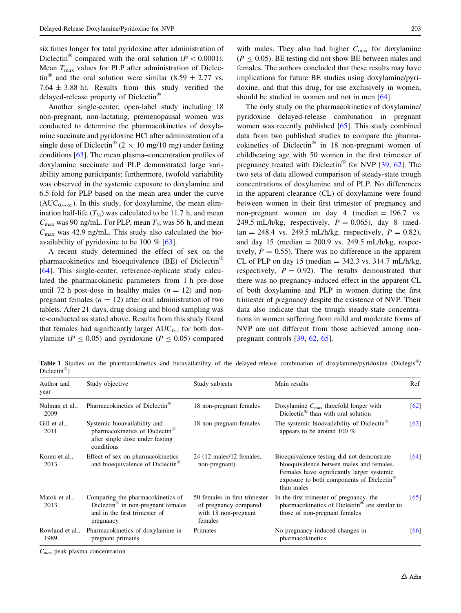<span id="page-4-0"></span>six times longer for total pyridoxine after administration of Diclectin<sup>®</sup> compared with the oral solution ( $P < 0.0001$ ). Mean  $T_{\text{max}}$  values for PLP after administration of Diclectin<sup>®</sup> and the oral solution were similar (8.59  $\pm$  2.77 vs. 7.64  $\pm$  3.88 h). Results from this study verified the delayed-release property of Diclectin<sup>®</sup>.

Another single-center, open-label study including 18 non-pregnant, non-lactating, premenopausal women was conducted to determine the pharmacokinetics of doxylamine succinate and pyridoxine HCl after administration of a single dose of Diclectin<sup>®</sup> (2  $\times$  10 mg/10 mg) under fasting conditions [\[63](#page-12-0)]. The mean plasma–concentration profiles of doxylamine succinate and PLP demonstrated large variability among participants; furthermore, twofold variability was observed in the systemic exposure to doxylamine and 6.5-fold for PLP based on the mean area under the curve  $(AUC_{0\rightarrow\infty})$ . In this study, for doxylamine, the mean elimination half-life  $(T_{\frac{1}{2}})$  was calculated to be 11.7 h, and mean  $C_{\text{max}}$  was 90 ng/mL. For PLP, mean  $T_{\frac{1}{2}}$  was 56 h, and mean  $C_{\text{max}}$  was 42.9 ng/mL. This study also calculated the bioavailability of pyridoxine to be 100  $\%$  [\[63](#page-12-0)].

A recent study determined the effect of sex on the pharmacokinetics and bioequivalence (BE) of Diclectin [\[64](#page-12-0)]. This single-center, reference-replicate study calculated the pharmacokinetic parameters from 1 h pre-dose until 72 h post-dose in healthy males  $(n = 12)$  and nonpregnant females ( $n = 12$ ) after oral administration of two tablets. After 21 days, drug dosing and blood sampling was re-conducted as stated above. Results from this study found that females had significantly larger  $AUC_{0-1}$  for both doxylamine ( $P \le 0.05$ ) and pyridoxine ( $P \le 0.05$ ) compared

with males. They also had higher  $C_{\text{max}}$  for doxylamine  $(P \le 0.05)$ . BE testing did not show BE between males and females. The authors concluded that these results may have implications for future BE studies using doxylamine/pyridoxine, and that this drug, for use exclusively in women, should be studied in women and not in men [[64\]](#page-12-0).

The only study on the pharmacokinetics of doxylamine/ pyridoxine delayed-release combination in pregnant women was recently published [\[65](#page-12-0)]. This study combined data from two published studies to compare the pharmacokinetics of Diclectin<sup>®</sup> in 18 non-pregnant women of childbearing age with 50 women in the first trimester of pregnancy treated with Diclectin<sup>®</sup> for NVP  $[39, 62]$  $[39, 62]$  $[39, 62]$  $[39, 62]$  $[39, 62]$ . The two sets of data allowed comparison of steady-state trough concentrations of doxylamine and of PLP. No differences in the apparent clearance (CL) of doxylamine were found between women in their first trimester of pregnancy and non-pregnant women on day 4 (median  $= 196.7$  vs. 249.5 mL/h/kg, respectively,  $P = 0.065$ ), day 8 (median = 248.4 vs. 249.5 mL/h/kg, respectively,  $P = 0.82$ ), and day 15 (median  $= 200.9$  vs. 249.5 mL/h/kg, respectively,  $P = 0.55$ . There was no difference in the apparent CL of PLP on day 15 (median  $=$  342.3 vs. 314.7 mL/h/kg, respectively,  $P = 0.92$ . The results demonstrated that there was no pregnancy-induced effect in the apparent CL of both doxylamine and PLP in women during the first trimester of pregnancy despite the existence of NVP. Their data also indicate that the trough steady-state concentrations in women suffering from mild and moderate forms of NVP are not different from those achieved among nonpregnant controls [\[39](#page-11-0), [62](#page-12-0), [65\]](#page-12-0).

**Table 1** Studies on the pharmacokinetics and bioavailability of the delayed-release combination of doxylamine/pyridoxine (Diclegis<sup>®</sup>/ Diclectin<sup>®</sup>)

| Author and<br>year                                                                                                                                         | Study objective                                                                                                             | Study subjects                                                                            | Main results                                                                                                                                                                                                | Ref  |
|------------------------------------------------------------------------------------------------------------------------------------------------------------|-----------------------------------------------------------------------------------------------------------------------------|-------------------------------------------------------------------------------------------|-------------------------------------------------------------------------------------------------------------------------------------------------------------------------------------------------------------|------|
| Nulman et al<br>2009                                                                                                                                       | Pharmacokinetics of Diclectin <sup>®</sup>                                                                                  | 18 non-pregnant females                                                                   | Doxylamine $C_{\text{max}}$ threefold longer with<br>Diclectin <sup>®</sup> than with oral solution                                                                                                         | [62] |
| Gill et al.,<br>2011                                                                                                                                       | Systemic bioavailability and<br>pharmacokinetics of Diclectin <sup>®</sup><br>after single dose under fasting<br>conditions | 18 non-pregnant females                                                                   | The systemic bioavailability of Diclectin <sup>®</sup><br>appears to be around 100 $%$                                                                                                                      | [63] |
| Koren et al.,<br>2013                                                                                                                                      | Effect of sex on pharmacokinetics<br>and bioequivalence of Diclectin <sup>®</sup>                                           | 24 (12 males/12 females,<br>non-pregnant)                                                 | Bioequivalence testing did not demonstrate<br>bioequivalence betwen males and females.<br>Females have significantly larger systemic<br>exposure to both components of Diclectin <sup>®</sup><br>than males | [64] |
| Comparing the pharmacokinetics of<br>Matok et al.,<br>Diclectin <sup>®</sup> in non-pregnant females<br>2013<br>and in the first trimester of<br>pregnancy |                                                                                                                             | 50 females in first trimester<br>of pregnancy compared<br>with 18 non-pregnant<br>females | In the first trimester of pregnancy, the<br>pharmacokinetics of Diclectin <sup>®</sup> are similar to<br>those of non-pregnant females                                                                      | [65] |
| Rowland et al.,<br>1989                                                                                                                                    | Pharmacokinetics of doxylamine in<br>pregnant primates                                                                      | Primates                                                                                  | No pregnancy-induced changes in<br>pharmacokinetics                                                                                                                                                         | [66] |

 $C_{max}$  peak plasma concentration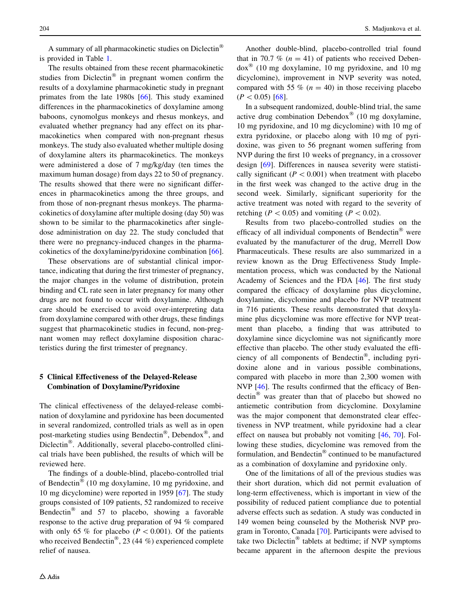A summary of all pharmacokinetic studies on Diclectin is provided in Table [1](#page-4-0).

The results obtained from these recent pharmacokinetic studies from Diclectin<sup>®</sup> in pregnant women confirm the results of a doxylamine pharmacokinetic study in pregnant primates from the late 1980s [\[66](#page-12-0)]. This study examined differences in the pharmacokinetics of doxylamine among baboons, cynomolgus monkeys and rhesus monkeys, and evaluated whether pregnancy had any effect on its pharmacokinetics when compared with non-pregnant rhesus monkeys. The study also evaluated whether multiple dosing of doxylamine alters its pharmacokinetics. The monkeys were administered a dose of 7 mg/kg/day (ten times the maximum human dosage) from days 22 to 50 of pregnancy. The results showed that there were no significant differences in pharmacokinetics among the three groups, and from those of non-pregnant rhesus monkeys. The pharmacokinetics of doxylamine after multiple dosing (day 50) was shown to be similar to the pharmacokinetics after singledose administration on day 22. The study concluded that there were no pregnancy-induced changes in the pharmacokinetics of the doxylamine/pyridoxine combination [\[66](#page-12-0)].

These observations are of substantial clinical importance, indicating that during the first trimester of pregnancy, the major changes in the volume of distribution, protein binding and CL rate seen in later pregnancy for many other drugs are not found to occur with doxylamine. Although care should be exercised to avoid over-interpreting data from doxylamine compared with other drugs, these findings suggest that pharmacokinetic studies in fecund, non-pregnant women may reflect doxylamine disposition characteristics during the first trimester of pregnancy.

## 5 Clinical Effectiveness of the Delayed-Release Combination of Doxylamine/Pyridoxine

The clinical effectiveness of the delayed-release combination of doxylamine and pyridoxine has been documented in several randomized, controlled trials as well as in open post-marketing studies using Bendectin<sup>®</sup>, Debendox<sup>®</sup>, and Diclectin<sup>®</sup>. Additionally, several placebo-controlled clinical trials have been published, the results of which will be reviewed here.

The findings of a double-blind, placebo-controlled trial of Bendectin<sup>®</sup> (10 mg doxylamine, 10 mg pyridoxine, and 10 mg dicyclomine) were reported in 1959 [[67\]](#page-12-0). The study groups consisted of 109 patients, 52 randomized to receive Bendectin<sup>®</sup> and 57 to placebo, showing a favorable response to the active drug preparation of 94 % compared with only 65 % for placebo ( $P \lt 0.001$ ). Of the patients who received Bendectin<sup>®</sup>, 23 (44 %) experienced complete relief of nausea.

Another double-blind, placebo-controlled trial found that in 70.7 % ( $n = 41$ ) of patients who received Deben $d\alpha$ <sup>®</sup> (10 mg doxylamine, 10 mg pyridoxine, and 10 mg dicyclomine), improvement in NVP severity was noted, compared with 55 % ( $n = 40$ ) in those receiving placebo  $(P<0.05)$  [\[68](#page-12-0)].

In a subsequent randomized, double-blind trial, the same active drug combination Debendox<sup>®</sup> (10 mg doxylamine, 10 mg pyridoxine, and 10 mg dicyclomine) with 10 mg of extra pyridoxine, or placebo along with 10 mg of pyridoxine, was given to 56 pregnant women suffering from NVP during the first 10 weeks of pregnancy, in a crossover design [[69\]](#page-12-0). Differences in nausea severity were statistically significant ( $P < 0.001$ ) when treatment with placebo in the first week was changed to the active drug in the second week. Similarly, significant superiority for the active treatment was noted with regard to the severity of retching ( $P < 0.05$ ) and vomiting ( $P < 0.02$ ).

Results from two placebo-controlled studies on the efficacy of all individual components of Bendectin® were evaluated by the manufacturer of the drug, Merrell Dow Pharmaceuticals. These results are also summarized in a review known as the Drug Effectiveness Study Implementation process, which was conducted by the National Academy of Sciences and the FDA [\[46](#page-11-0)]. The first study compared the efficacy of doxylamine plus dicyclomine, doxylamine, dicyclomine and placebo for NVP treatment in 716 patients. These results demonstrated that doxylamine plus dicyclomine was more effective for NVP treatment than placebo, a finding that was attributed to doxylamine since dicyclomine was not significantly more effective than placebo. The other study evaluated the efficiency of all components of Bendectin<sup>®</sup>, including pyridoxine alone and in various possible combinations, compared with placebo in more than 2,300 women with NVP [[46\]](#page-11-0). The results confirmed that the efficacy of Ben- $\text{dectin}^{\otimes}$  was greater than that of placebo but showed no antiemetic contribution from dicyclomine. Doxylamine was the major component that demonstrated clear effectiveness in NVP treatment, while pyridoxine had a clear effect on nausea but probably not vomiting [\[46](#page-11-0), [70](#page-12-0)]. Following these studies, dicyclomine was removed from the formulation, and Bendectin $^{\circledR}$  continued to be manufactured as a combination of doxylamine and pyridoxine only.

One of the limitations of all of the previous studies was their short duration, which did not permit evaluation of long-term effectiveness, which is important in view of the possibility of reduced patient compliance due to potential adverse effects such as sedation. A study was conducted in 149 women being counseled by the Motherisk NVP program in Toronto, Canada [[70\]](#page-12-0). Participants were advised to take two Diclectin<sup>®</sup> tablets at bedtime; if NVP symptoms became apparent in the afternoon despite the previous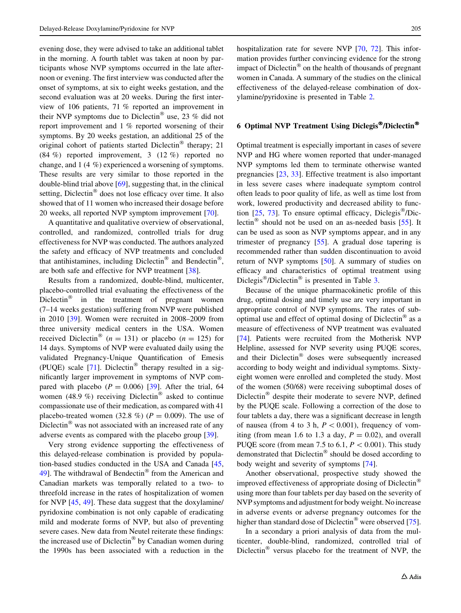evening dose, they were advised to take an additional tablet in the morning. A fourth tablet was taken at noon by participants whose NVP symptoms occurred in the late afternoon or evening. The first interview was conducted after the onset of symptoms, at six to eight weeks gestation, and the second evaluation was at 20 weeks. During the first interview of 106 patients, 71 % reported an improvement in their NVP symptoms due to Diclectin<sup>®</sup> use, 23 % did not report improvement and 1 % reported worsening of their symptoms. By 20 weeks gestation, an additional 25 of the original cohort of patients started Diclectin<sup>®</sup> therapy; 21 (84 %) reported improvement, 3 (12 %) reported no change, and 1 (4 %) experienced a worsening of symptoms. These results are very similar to those reported in the double-blind trial above [\[69](#page-12-0)], suggesting that, in the clinical setting, Diclectin $^{\circledR}$  does not lose efficacy over time. It also showed that of 11 women who increased their dosage before 20 weeks, all reported NVP symptom improvement [[70](#page-12-0)].

A quantitative and qualitative overview of observational, controlled, and randomized, controlled trials for drug effectiveness for NVP was conducted. The authors analyzed the safety and efficacy of NVP treatments and concluded that antihistamines, including Diclectin<sup>®</sup> and Bendectin<sup>®</sup>, are both safe and effective for NVP treatment [\[38](#page-11-0)].

Results from a randomized, double-blind, multicenter, placebo-controlled trial evaluating the effectiveness of the Diclectin $\infty$  in the treatment of pregnant women (7–14 weeks gestation) suffering from NVP were published in 2010 [\[39](#page-11-0)]. Women were recruited in 2008–2009 from three university medical centers in the USA. Women received Diclectin<sup>®</sup> (n = 131) or placebo (n = 125) for 14 days. Symptoms of NVP were evaluated daily using the validated Pregnancy-Unique Quantification of Emesis (PUQE) scale  $[71]$  $[71]$ . Diclectin<sup>®</sup> therapy resulted in a significantly larger improvement in symptoms of NVP compared with placebo ( $P = 0.006$ ) [\[39](#page-11-0)]. After the trial, 64 women (48.9 %) receiving Diclectin<sup>®</sup> asked to continue compassionate use of their medication, as compared with 41 placebo-treated women (32.8 %) ( $P = 0.009$ ). The use of Diclectin<sup> $\infty$ </sup> was not associated with an increased rate of any adverse events as compared with the placebo group [[39\]](#page-11-0).

Very strong evidence supporting the effectiveness of this delayed-release combination is provided by population-based studies conducted in the USA and Canada [[45,](#page-11-0) [49\]](#page-11-0). The withdrawal of Bendectin<sup>®</sup> from the American and Canadian markets was temporally related to a two- to threefold increase in the rates of hospitalization of women for NVP [[45,](#page-11-0) [49](#page-11-0)]. These data suggest that the doxylamine/ pyridoxine combination is not only capable of eradicating mild and moderate forms of NVP, but also of preventing severe cases. New data from Neutel reiterate these findings: the increased use of Diclectin<sup>®</sup> by Canadian women during the 1990s has been associated with a reduction in the hospitalization rate for severe NVP [\[70](#page-12-0), [72](#page-12-0)]. This information provides further convincing evidence for the strong impact of Diclectin<sup> $\circledast$ </sup> on the health of thousands of pregnant women in Canada. A summary of the studies on the clinical effectiveness of the delayed-release combination of doxylamine/pyridoxine is presented in Table [2.](#page-7-0)

# 6 Optimal NVP Treatment Using Diclegis®/Diclectin®

Optimal treatment is especially important in cases of severe NVP and HG where women reported that under-managed NVP symptoms led them to terminate otherwise wanted pregnancies [\[23](#page-11-0), [33](#page-11-0)]. Effective treatment is also important in less severe cases where inadequate symptom control often leads to poor quality of life, as well as time lost from work, lowered productivity and decreased ability to function  $[25, 73]$  $[25, 73]$  $[25, 73]$ . To ensure optimal efficacy, Diclegis<sup>®</sup>/Dic-lectin<sup>®</sup> should not be used on an as-needed basis [[55](#page-12-0)]. It can be used as soon as NVP symptoms appear, and in any trimester of pregnancy [\[55](#page-12-0)]. A gradual dose tapering is recommended rather than sudden discontinuation to avoid return of NVP symptoms [\[50](#page-11-0)]. A summary of studies on efficacy and characteristics of optimal treatment using Diclegis<sup>®</sup>/Diclectin<sup>®</sup> is presented in Table [3](#page-8-0).

Because of the unique pharmacokinetic profile of this drug, optimal dosing and timely use are very important in appropriate control of NVP symptoms. The rates of suboptimal use and effect of optimal dosing of Diclectin<sup>®</sup> as a measure of effectiveness of NVP treatment was evaluated [\[74](#page-12-0)]. Patients were recruited from the Motherisk NVP Helpline, assessed for NVP severity using PUQE scores, and their Diclectin $^{\circledR}$  doses were subsequently increased according to body weight and individual symptoms. Sixtyeight women were enrolled and completed the study. Most of the women (50/68) were receiving suboptimal doses of Diclectin<sup>®</sup> despite their moderate to severe NVP, defined by the PUQE scale. Following a correction of the dose to four tablets a day, there was a significant decrease in length of nausea (from 4 to 3 h,  $P \lt 0.001$ ), frequency of vomiting (from mean 1.6 to 1.3 a day,  $P = 0.02$ ), and overall PUQE score (from mean 7.5 to 6.1,  $P \lt 0.001$ ). This study demonstrated that  $Diclection^{\circledR}$  should be dosed according to body weight and severity of symptoms [\[74](#page-12-0)].

Another observational, prospective study showed the improved effectiveness of appropriate dosing of Diclectin<sup>®</sup> using more than four tablets per day based on the severity of NVP symptoms and adjustment for body weight. No increase in adverse events or adverse pregnancy outcomes for the higher than standard dose of Diclectin<sup>®</sup> were observed [\[75](#page-12-0)].

In a secondary a priori analysis of data from the multicenter, double-blind, randomized, controlled trial of Diclectin $^{\circledR}$  versus placebo for the treatment of NVP, the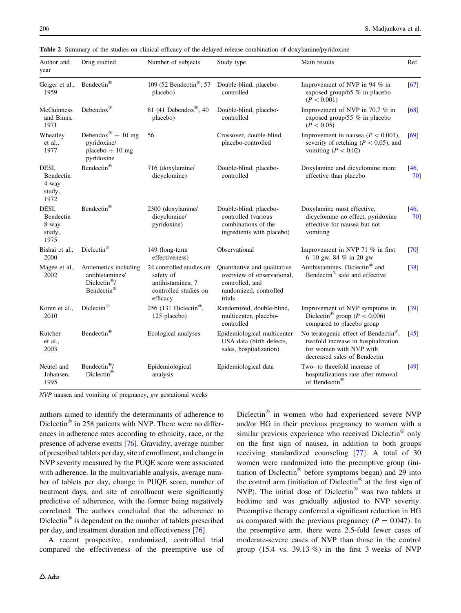| Author and<br>year                            | Drug studied                                                                       | Number of subjects                                                                              | Study type                                                                                                        | Main results                                                                                                                                        | Ref            |  |
|-----------------------------------------------|------------------------------------------------------------------------------------|-------------------------------------------------------------------------------------------------|-------------------------------------------------------------------------------------------------------------------|-----------------------------------------------------------------------------------------------------------------------------------------------------|----------------|--|
| Geiger et al.,<br>1959                        | Bendectin®                                                                         | 109 (52 Bendectin®; 57<br>placebo)                                                              | Double-blind, placebo-<br>controlled                                                                              | Improvement of NVP in 94 % in<br>exposed group/65 $%$ in placebo<br>(P < 0.001)                                                                     | [67]           |  |
| <b>McGuinness</b><br>and Binns,<br>1971       | Debendox $^{\circledR}$                                                            | 81 (41 Debendox®; 40<br>placebo)                                                                | Double-blind, placebo-<br>controlled                                                                              | Improvement of NVP in 70.7 % in<br>exposed group/55 $%$ in placebo<br>(P < 0.05)                                                                    | [68]           |  |
| Wheatley<br>et al.,<br>1977                   | Debendox <sup>®</sup> + 10 mg<br>pyridoxine/<br>placebo $+10$ mg<br>pyridoxine     | 56                                                                                              | Crossover, double-blind,<br>placebo-controlled                                                                    | Improvement in nausea ( $P < 0.001$ ),<br>severity of retching ( $P < 0.05$ ), and<br>vomiting ( $P < 0.02$ )                                       | [69]           |  |
| DESI,<br>Bendectin<br>4-way<br>study,<br>1972 | Bendectin®                                                                         | 716 (doxylamine/<br>dicyclomine)                                                                | Double-blind, placebo-<br>controlled                                                                              | Doxylamine and dicyclomine more<br>effective than placebo                                                                                           | [46, 1]<br>701 |  |
| DESI,<br>Bendectin<br>8-way<br>study,<br>1975 | Bendectin®                                                                         | 2300 (doxylamine/<br>dicyclomine/<br>pyridoxine)                                                | Double-blind, placebo-<br>controlled (various<br>combinations of the<br>ingredients with placebo)                 | Doxylamine most effective,<br>dicyclomine no effect, pyridoxine<br>effective for nausea but not<br>vomiting                                         | [46,<br>70]    |  |
| Bishai et al.,<br>2000                        | Diclectin®                                                                         | 149 (long-term<br>effectiveness)                                                                | Observational                                                                                                     | Improvement in NVP 71 % in first<br>6-10 gw, 84 % in 20 gw                                                                                          | [70]           |  |
| Magee et al.,<br>2002                         | Antiemetics including<br>antihistamines/<br>Diclectin <sup>®</sup> /<br>Bendectin® | 24 controlled studies on<br>safety of<br>antihistamines; 7<br>controlled studies on<br>efficacy | Quantitative and qualitative<br>overview of observational,<br>controlled, and<br>randomized, controlled<br>trials | Antihistamines, Diclectin <sup>®</sup> and<br>Bendectin® safe and effective                                                                         | $[38]$         |  |
| Koren et al.,<br>2010                         | Diclectin®                                                                         | 256 (131 Diclectin®,<br>125 placebo)                                                            | Randomized, double-blind,<br>multicenter, placebo-<br>controlled                                                  | Improvement of NVP symptoms in<br>Diclectin <sup>®</sup> group ( $P < 0.006$ )<br>compared to placebo group                                         | $[39]$         |  |
| Kutcher<br>et al.,<br>2003                    | Bendectin®                                                                         | Ecological analyses                                                                             | Epidemiological multicenter<br>USA data (birth defects,<br>sales, hospitalization)                                | No teratogenic effect of Bendectin <sup>®</sup> ,<br>twofold increase in hospitalization<br>for women with NVP with<br>decreased sales of Bendectin | [45]           |  |
| Neutel and<br>Johansen,<br>1995               | Bendectin <sup>®</sup> /<br>Diclectin®                                             | Epidemiological<br>analysis                                                                     | Epidemiological data                                                                                              | Two- to threefold increase of<br>hospitalizations rate after removal<br>of Bendectin®                                                               | $[49]$         |  |

<span id="page-7-0"></span>Table 2 Summary of the studies on clinical efficacy of the delayed-release combination of doxylamine/pyridoxine

NVP nausea and vomiting of pregnancy, gw gestational weeks

authors aimed to identify the determinants of adherence to Diclectin $^{\circledR}$  in 258 patients with NVP. There were no differences in adherence rates according to ethnicity, race, or the presence of adverse events [[76\]](#page-12-0). Gravidity, average number of prescribed tablets per day, site of enrollment, and change in NVP severity measured by the PUQE score were associated with adherence. In the multivariable analysis, average number of tablets per day, change in PUQE score, number of treatment days, and site of enrollment were significantly predictive of adherence, with the former being negatively correlated. The authors concluded that the adherence to Diclectin $\mathcal{O}$  is dependent on the number of tablets prescribed per day, and treatment duration and effectiveness [[76\]](#page-12-0).

A recent prospective, randomized, controlled trial compared the effectiveness of the preemptive use of Diclectin $^{\circledR}$  in women who had experienced severe NVP and/or HG in their previous pregnancy to women with a similar previous experience who received  $Diclection^{\circledR}$  only on the first sign of nausea, in addition to both groups receiving standardized counseling [[77\]](#page-12-0). A total of 30 women were randomized into the preemptive group (initiation of Diclectin<sup>®</sup> before symptoms began) and 29 into the control arm (initiation of Diclectin<sup>®</sup> at the first sign of NVP). The initial dose of Diclectin $^{\circledR}$  was two tablets at bedtime and was gradually adjusted to NVP severity. Preemptive therapy conferred a significant reduction in HG as compared with the previous pregnancy ( $P = 0.047$ ). In the preemptive arm, there were 2.5-fold fewer cases of moderate-severe cases of NVP than those in the control group  $(15.4 \text{ vs. } 39.13 \%)$  in the first 3 weeks of NVP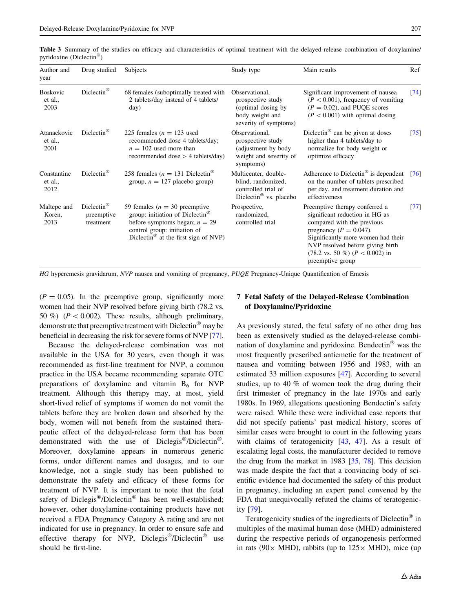<span id="page-8-0"></span>

|                                      |  |  |  |  |  | <b>Table 3</b> Summary of the studies on efficacy and characteristics of optimal treatment with the delayed-release combination of doxylamine/ |  |  |
|--------------------------------------|--|--|--|--|--|------------------------------------------------------------------------------------------------------------------------------------------------|--|--|
| pyridoxine (Diclectin <sup>®</sup> ) |  |  |  |  |  |                                                                                                                                                |  |  |

| Author and<br>year                 | Drug studied                                        | <b>Subjects</b>                                                                                                                                                                                        | Study type                                                                                              | Main results                                                                                                                                                                                                                                                             | Ref                |
|------------------------------------|-----------------------------------------------------|--------------------------------------------------------------------------------------------------------------------------------------------------------------------------------------------------------|---------------------------------------------------------------------------------------------------------|--------------------------------------------------------------------------------------------------------------------------------------------------------------------------------------------------------------------------------------------------------------------------|--------------------|
| <b>Boskovic</b><br>et al.,<br>2003 | $Diclection^{\circledR}$                            | 68 females (suboptimally treated with<br>2 tablets/day instead of 4 tablets/<br>day)                                                                                                                   | Observational,<br>prospective study<br>(optimal dosing by<br>body weight and<br>severity of symptoms)   | Significant improvement of nausea<br>$(P < 0.001)$ , frequency of vomiting<br>$(P = 0.02)$ , and PUQE scores<br>$(P < 0.001)$ with optimal dosing                                                                                                                        | $\lceil 74 \rceil$ |
| Atanackovic<br>et al.,<br>2001     | $Diclection^{\circledR}$                            | 225 females ( $n = 123$ used<br>recommended dose 4 tablets/day;<br>$n = 102$ used more than<br>recommended dose $>$ 4 tablets/day)                                                                     | Observational.<br>prospective study<br>(adjustment by body)<br>weight and severity of<br>symptoms)      | Diclectin <sup>®</sup> can be given at doses<br>higher than 4 tablets/day to<br>normalize for body weight or<br>optimize efficacy                                                                                                                                        | $\left[75\right]$  |
| Constantine<br>et al.,<br>2012     | $Diclection^{\circledR}$                            | 258 females ( $n = 131$ Diclectin <sup>®</sup><br>group, $n = 127$ placebo group)                                                                                                                      | Multicenter, double-<br>blind, randomized,<br>controlled trial of<br>Diclectin <sup>®</sup> vs. placebo | Adherence to Diclectin <sup>®</sup> is dependent<br>on the number of tablets prescribed<br>per day, and treatment duration and<br>effectiveness                                                                                                                          | T761               |
| Maltepe and<br>Koren,<br>2013      | $Diclection^{\circledR}$<br>preemptive<br>treatment | 59 females ( $n = 30$ preemptive<br>group: initiation of Diclectin <sup>®</sup><br>before symptoms began; $n = 29$<br>control group: initiation of<br>Diclectin <sup>®</sup> at the first sign of NVP) | Prospective,<br>randomized,<br>controlled trial                                                         | Preemptive therapy conferred a<br>significant reduction in HG as<br>compared with the previous<br>pregnancy ( $P = 0.047$ ).<br>Significantly more women had their<br>NVP resolved before giving birth<br>$(78.2 \text{ vs. } 50 \%) (P < 0.002)$ in<br>preemptive group | $\left[77\right]$  |

HG hyperemesis gravidarum, NVP nausea and vomiting of pregnancy, PUQE Pregnancy-Unique Quantification of Emesis

 $(P = 0.05)$ . In the preemptive group, significantly more women had their NVP resolved before giving birth (78.2 vs. 50 %) ( $P < 0.002$ ). These results, although preliminary, demonstrate that preemptive treatment with Diclectin<sup>®</sup> may be beneficial in decreasing the risk for severe forms of NVP [[77](#page-12-0)].

Because the delayed-release combination was not available in the USA for 30 years, even though it was recommended as first-line treatment for NVP, a common practice in the USA became recommending separate OTC preparations of doxylamine and vitamin  $B_6$  for NVP treatment. Although this therapy may, at most, yield short-lived relief of symptoms if women do not vomit the tablets before they are broken down and absorbed by the body, women will not benefit from the sustained therapeutic effect of the delayed-release form that has been demonstrated with the use of Diclegis<sup>®</sup>/Diclectin<sup>®</sup>. Moreover, doxylamine appears in numerous generic forms, under different names and dosages, and to our knowledge, not a single study has been published to demonstrate the safety and efficacy of these forms for treatment of NVP. It is important to note that the fetal safety of Diclegis®/Diclectin® has been well-established; however, other doxylamine-containing products have not received a FDA Pregnancy Category A rating and are not indicated for use in pregnancy. In order to ensure safe and effective therapy for NVP, Diclegis<sup>®</sup>/Diclectin<sup>®</sup> use should be first-line.

## 7 Fetal Safety of the Delayed-Release Combination of Doxylamine/Pyridoxine

As previously stated, the fetal safety of no other drug has been as extensively studied as the delayed-release combination of doxylamine and pyridoxine. Bendectin<sup> $\infty$ </sup> was the most frequently prescribed antiemetic for the treatment of nausea and vomiting between 1956 and 1983, with an estimated 33 million exposures [\[47](#page-11-0)]. According to several studies, up to 40 % of women took the drug during their first trimester of pregnancy in the late 1970s and early 1980s. In 1969, allegations questioning Bendectin's safety were raised. While these were individual case reports that did not specify patients' past medical history, scores of similar cases were brought to court in the following years with claims of teratogenicity [[43](#page-11-0), [47\]](#page-11-0). As a result of escalating legal costs, the manufacturer decided to remove the drug from the market in 1983 [[35,](#page-11-0) [78\]](#page-12-0). This decision was made despite the fact that a convincing body of scientific evidence had documented the safety of this product in pregnancy, including an expert panel convened by the FDA that unequivocally refuted the claims of teratogenicity [\[79](#page-12-0)].

Teratogenicity studies of the ingredients of Diclectin<sup>®</sup> in multiples of the maximal human dose (MHD) administered during the respective periods of organogenesis performed in rats (90 $\times$  MHD), rabbits (up to 125 $\times$  MHD), mice (up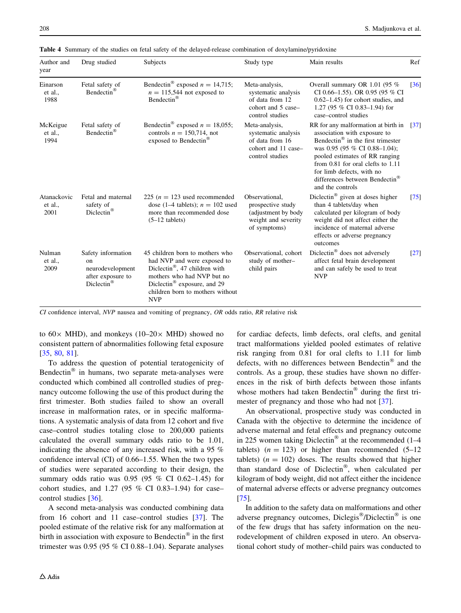| Author and<br>year             | Drug studied                                                                                             | Subjects                                                                                                                                                                                                                               |                                                                                                    | Main results                                                                                                                                                                                                                                                                                                                    |                    |
|--------------------------------|----------------------------------------------------------------------------------------------------------|----------------------------------------------------------------------------------------------------------------------------------------------------------------------------------------------------------------------------------------|----------------------------------------------------------------------------------------------------|---------------------------------------------------------------------------------------------------------------------------------------------------------------------------------------------------------------------------------------------------------------------------------------------------------------------------------|--------------------|
| Einarson<br>et al.,<br>1988    | Fetal safety of<br>Bendectin <sup>®</sup>                                                                | Bendectin <sup>®</sup> exposed $n = 14,715$ ;<br>$n = 115,544$ not exposed to<br>Bendectin <sup>®</sup>                                                                                                                                | Meta-analysis,<br>systematic analysis<br>of data from 12<br>cohort and 5 case-<br>control studies  | Overall summary OR 1.01 (95 $%$<br>CI 0.66-1.55). OR 0.95 (95 % CI<br>$0.62-1.45$ ) for cohort studies, and<br>1.27 (95 % CI 0.83-1.94) for<br>case-control studies                                                                                                                                                             | $\lceil 36 \rceil$ |
| McKeigue<br>et al.,<br>1994    | Fetal safety of<br>Bendectin <sup>®</sup>                                                                | Bendectin <sup>®</sup> exposed $n = 18,055$ ;<br>controls $n = 150,714$ , not<br>exposed to Bendectin®                                                                                                                                 | Meta-analysis,<br>systematic analysis<br>of data from 16<br>cohort and 11 case-<br>control studies | RR for any malformation at birth in<br>association with exposure to<br>Bendectin <sup>®</sup> in the first trimester<br>was 0.95 (95 % CI 0.88-1.04);<br>pooled estimates of RR ranging<br>from $0.81$ for oral clefts to $1.11$<br>for limb defects, with no<br>differences between Bendectin <sup>®</sup><br>and the controls | $\left[37\right]$  |
| Atanackovic<br>et al.,<br>2001 | Fetal and maternal<br>safety of<br>Diclectin®                                                            | 225 ( $n = 123$ used recommended<br>dose (1–4 tablets); $n = 102$ used<br>more than recommended dose<br>$(5-12$ tablets)                                                                                                               | Observational.<br>prospective study<br>(adjustment by body)<br>weight and severity<br>of symptoms) | Diclectin® given at doses higher<br>than 4 tablets/day when<br>calculated per kilogram of body<br>weight did not affect either the<br>incidence of maternal adverse<br>effects or adverse pregnancy<br>outcomes                                                                                                                 | [75]               |
| Nulman<br>et al.,<br>2009      | Safety information<br><sub>on</sub><br>neurodevelopment<br>after exposure to<br>$Diclection^{\circledR}$ | 45 children born to mothers who<br>had NVP and were exposed to<br>Diclectin <sup>®</sup> , 47 children with<br>mothers who had NVP but no<br>Diclectin <sup>®</sup> exposure, and 29<br>children born to mothers without<br><b>NVP</b> | Observational, cohort<br>study of mother-<br>child pairs                                           | Diclectin <sup>®</sup> does not adversely<br>affect fetal brain development<br>and can safely be used to treat<br><b>NVP</b>                                                                                                                                                                                                    | $\lceil 27 \rceil$ |

<span id="page-9-0"></span>Table 4 Summary of the studies on fetal safety of the delayed-release combination of doxylamine/pyridoxine

 $CI$  confidence interval,  $NVP$  nausea and vomiting of pregnancy,  $OR$  odds ratio,  $RR$  relative risk

to  $60 \times$  MHD), and monkeys (10–20 $\times$  MHD) showed no consistent pattern of abnormalities following fetal exposure [\[35](#page-11-0), [80](#page-12-0), [81\]](#page-12-0).

To address the question of potential teratogenicity of Bendectin $\mathscr P$  in humans, two separate meta-analyses were conducted which combined all controlled studies of pregnancy outcome following the use of this product during the first trimester. Both studies failed to show an overall increase in malformation rates, or in specific malformations. A systematic analysis of data from 12 cohort and five case–control studies totaling close to 200,000 patients calculated the overall summary odds ratio to be 1.01, indicating the absence of any increased risk, with a 95 % confidence interval (CI) of 0.66–1.55. When the two types of studies were separated according to their design, the summary odds ratio was 0.95 (95 % CI 0.62–1.45) for cohort studies, and 1.27 (95 % CI 0.83–1.94) for case– control studies [\[36](#page-11-0)].

A second meta-analysis was conducted combining data from 16 cohort and 11 case–control studies [\[37](#page-11-0)]. The pooled estimate of the relative risk for any malformation at birth in association with exposure to Bendectin<sup>®</sup> in the first trimester was  $0.95$  (95 % CI 0.88–1.04). Separate analyses for cardiac defects, limb defects, oral clefts, and genital tract malformations yielded pooled estimates of relative risk ranging from 0.81 for oral clefts to 1.11 for limb defects, with no differences between Bendectin $^{\circledR}$  and the controls. As a group, these studies have shown no differences in the risk of birth defects between those infants whose mothers had taken Bendectin<sup>®</sup> during the first trimester of pregnancy and those who had not [[37\]](#page-11-0).

An observational, prospective study was conducted in Canada with the objective to determine the incidence of adverse maternal and fetal effects and pregnancy outcome in 225 women taking Diclectin<sup>®</sup> at the recommended  $(1-4)$ tablets)  $(n = 123)$  or higher than recommended  $(5-12)$ tablets)  $(n = 102)$  doses. The results showed that higher than standard dose of Diclectin®, when calculated per kilogram of body weight, did not affect either the incidence of maternal adverse effects or adverse pregnancy outcomes [\[75](#page-12-0)].

In addition to the safety data on malformations and other adverse pregnancy outcomes, Diclegis<sup>®</sup>/Diclectin<sup>®</sup> is one of the few drugs that has safety information on the neurodevelopment of children exposed in utero. An observational cohort study of mother–child pairs was conducted to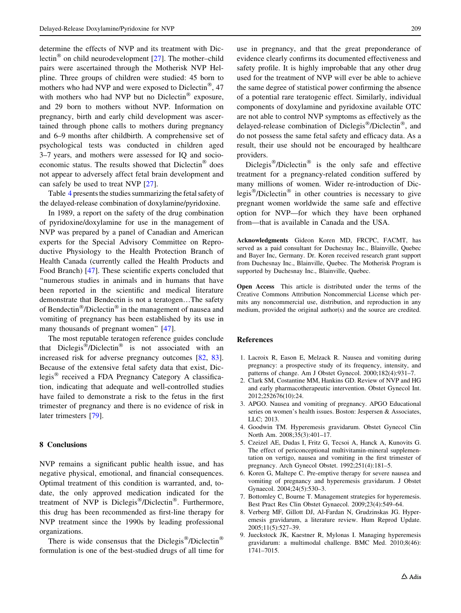<span id="page-10-0"></span>determine the effects of NVP and its treatment with Dic-lectin<sup>®</sup> on child neurodevelopment [[27\]](#page-11-0). The mother–child pairs were ascertained through the Motherisk NVP Helpline. Three groups of children were studied: 45 born to mothers who had NVP and were exposed to Diclectin<sup>®</sup>, 47 with mothers who had NVP but no Diclectin<sup>®</sup> exposure, and 29 born to mothers without NVP. Information on pregnancy, birth and early child development was ascertained through phone calls to mothers during pregnancy and 6–9 months after childbirth. A comprehensive set of psychological tests was conducted in children aged 3–7 years, and mothers were assessed for IQ and socioeconomic status. The results showed that  $Diclection^{\circledR}$  does not appear to adversely affect fetal brain development and can safely be used to treat NVP [[27\]](#page-11-0).

Table [4](#page-9-0) presents the studies summarizing the fetal safety of the delayed-release combination of doxylamine/pyridoxine.

In 1989, a report on the safety of the drug combination of pyridoxine/doxylamine for use in the management of NVP was prepared by a panel of Canadian and American experts for the Special Advisory Committee on Reproductive Physiology to the Health Protection Branch of Health Canada (currently called the Health Products and Food Branch) [\[47](#page-11-0)]. These scientific experts concluded that ''numerous studies in animals and in humans that have been reported in the scientific and medical literature demonstrate that Bendectin is not a teratogen…The safety of Bendectin<sup>®</sup>/Diclectin<sup>®</sup> in the management of nausea and vomiting of pregnancy has been established by its use in many thousands of pregnant women'' [\[47](#page-11-0)].

The most reputable teratogen reference guides conclude that Diclegis<sup>®</sup>/Diclectin<sup>®</sup> is not associated with an increased risk for adverse pregnancy outcomes [\[82](#page-12-0), [83](#page-12-0)]. Because of the extensive fetal safety data that exist, Diclegis<sup>®</sup> received a FDA Pregnancy Category A classification, indicating that adequate and well-controlled studies have failed to demonstrate a risk to the fetus in the first trimester of pregnancy and there is no evidence of risk in later trimesters [\[79](#page-12-0)].

#### 8 Conclusions

NVP remains a significant public health issue, and has negative physical, emotional, and financial consequences. Optimal treatment of this condition is warranted, and, todate, the only approved medication indicated for the treatment of NVP is Diclegis<sup>®</sup>/Diclectin<sup>®</sup>. Furthermore, this drug has been recommended as first-line therapy for NVP treatment since the 1990s by leading professional organizations.

There is wide consensus that the Diclegis<sup>®</sup>/Diclectin<sup>®</sup> formulation is one of the best-studied drugs of all time for

use in pregnancy, and that the great preponderance of evidence clearly confirms its documented effectiveness and safety profile. It is highly improbable that any other drug used for the treatment of NVP will ever be able to achieve the same degree of statistical power confirming the absence of a potential rare teratogenic effect. Similarly, individual components of doxylamine and pyridoxine available OTC are not able to control NVP symptoms as effectively as the delayed-release combination of Diclegis<sup>®</sup>/Diclectin<sup>®</sup>, and do not possess the same fetal safety and efficacy data. As a result, their use should not be encouraged by healthcare providers.

Diclegis<sup>®</sup>/Diclectin<sup>®</sup> is the only safe and effective treatment for a pregnancy-related condition suffered by many millions of women. Wider re-introduction of Diclegis<sup>®</sup>/Diclectin<sup>®</sup> in other countries is necessary to give pregnant women worldwide the same safe and effective option for NVP—for which they have been orphaned from—that is available in Canada and the USA.

Acknowledgments Gideon Koren MD, FRCPC, FACMT, has served as a paid consultant for Duchesnay Inc., Blainville, Quebec and Bayer Inc, Germany. Dr. Koren received research grant support from Duchesnay Inc., Blainville, Quebec. The Motherisk Program is supported by Duchesnay Inc., Blainville, Quebec.

Open Access This article is distributed under the terms of the Creative Commons Attribution Noncommercial License which permits any noncommercial use, distribution, and reproduction in any medium, provided the original author(s) and the source are credited.

#### References

- 1. Lacroix R, Eason E, Melzack R. Nausea and vomiting during pregnancy: a prospective study of its frequency, intensity, and patterns of change. Am J Obstet Gynecol. 2000;182(4):931–7.
- 2. Clark SM, Costantine MM, Hankins GD. Review of NVP and HG and early pharmacotherapeutic intervention. Obstet Gynecol Int. 2012;252676(10):24.
- 3. APGO. Nausea and vomiting of pregnancy. APGO Educational series on women's health issues. Boston: Jespersen & Associates, LLC; 2013.
- 4. Goodwin TM. Hyperemesis gravidarum. Obstet Gynecol Clin North Am. 2008;35(3):401–17.
- 5. Czeizel AE, Dudas I, Fritz G, Tecsoi A, Hanck A, Kunovits G. The effect of periconceptional multivitamin-mineral supplementation on vertigo, nausea and vomiting in the first trimester of pregnancy. Arch Gynecol Obstet. 1992;251(4):181–5.
- 6. Koren G, Maltepe C. Pre-emptive therapy for severe nausea and vomiting of pregnancy and hyperemesis gravidarum. J Obstet Gynaecol. 2004;24(5):530–3.
- 7. Bottomley C, Bourne T. Management strategies for hyperemesis. Best Pract Res Clin Obstet Gynaecol. 2009;23(4):549–64.
- 8. Verberg MF, Gillott DJ, Al-Fardan N, Grudzinskas JG. Hyperemesis gravidarum, a literature review. Hum Reprod Update. 2005;11(5):527–39.
- 9. Jueckstock JK, Kaestner R, Mylonas I. Managing hyperemesis gravidarum: a multimodal challenge. BMC Med. 2010;8(46): 1741–7015.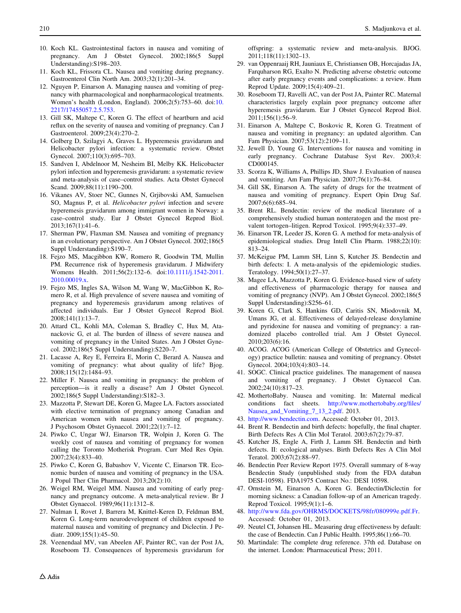- <span id="page-11-0"></span>10. Koch KL. Gastrointestinal factors in nausea and vomiting of pregnancy. Am J Obstet Gynecol. 2002;186(5 Suppl Understanding):S198–203.
- 11. Koch KL, Frissora CL. Nausea and vomiting during pregnancy. Gastroenterol Clin North Am. 2003;32(1):201–34.
- 12. Nguyen P, Einarson A. Managing nausea and vomiting of pregnancy with pharmacological and nonpharmacological treatments. Women's health (London, England). 2006;2(5):753–60. doi:[10.](http://dx.doi.org/10.2217/17455057.2.5.753) [2217/17455057.2.5.753](http://dx.doi.org/10.2217/17455057.2.5.753).
- 13. Gill SK, Maltepe C, Koren G. The effect of heartburn and acid reflux on the severity of nausea and vomiting of pregnancy. Can J Gastroenterol. 2009;23(4):270–2.
- 14. Golberg D, Szilagyi A, Graves L. Hyperemesis gravidarum and Helicobacter pylori infection: a systematic review. Obstet Gynecol. 2007;110(3):695–703.
- 15. Sandven I, Abdelnoor M, Nesheim BI, Melby KK. Helicobacter pylori infection and hyperemesis gravidarum: a systematic review and meta-analysis of case–control studies. Acta Obstet Gynecol Scand. 2009;88(11):1190–200.
- 16. Vikanes AV, Stoer NC, Gunnes N, Grjibovski AM, Samuelsen SO, Magnus P, et al. Helicobacter pylori infection and severe hyperemesis gravidarum among immigrant women in Norway: a case–control study. Eur J Obstet Gynecol Reprod Biol. 2013;167(1):41–6.
- 17. Sherman PW, Flaxman SM. Nausea and vomiting of pregnancy in an evolutionary perspective. Am J Obstet Gynecol. 2002;186(5 Suppl Understanding): S190-7.
- 18. Fejzo MS, Macgibbon KW, Romero R, Goodwin TM, Mullin PM. Recurrence risk of hyperemesis gravidarum. J Midwifery Womens Health. 2011;56(2):132–6. doi:[10.1111/j.1542-2011.](http://dx.doi.org/10.1111/j.1542-2011.2010.00019.x) [2010.00019.x](http://dx.doi.org/10.1111/j.1542-2011.2010.00019.x).
- 19. Fejzo MS, Ingles SA, Wilson M, Wang W, MacGibbon K, Romero R, et al. High prevalence of severe nausea and vomiting of pregnancy and hyperemesis gravidarum among relatives of affected individuals. Eur J Obstet Gynecol Reprod Biol. 2008;141(1):13–7.
- 20. Attard CL, Kohli MA, Coleman S, Bradley C, Hux M, Atanackovic G, et al. The burden of illness of severe nausea and vomiting of pregnancy in the United States. Am J Obstet Gynecol. 2002;186(5 Suppl Understanding):S220–7.
- 21. Lacasse A, Rey E, Ferreira E, Morin C, Berard A. Nausea and vomiting of pregnancy: what about quality of life? Bjog. 2008;115(12):1484–93.
- 22. Miller F. Nausea and vomiting in pregnancy: the problem of perception—is it really a disease? Am J Obstet Gynecol. 2002;186(5 Suppl Understanding):S182–3.
- 23. Mazzotta P, Stewart DE, Koren G, Magee LA. Factors associated with elective termination of pregnancy among Canadian and American women with nausea and vomiting of pregnancy. J Psychosom Obstet Gynaecol. 2001;22(1):7–12.
- 24. Piwko C, Ungar WJ, Einarson TR, Wolpin J, Koren G. The weekly cost of nausea and vomiting of pregnancy for women calling the Toronto Motherisk Program. Curr Med Res Opin. 2007;23(4):833–40.
- 25. Piwko C, Koren G, Babashov V, Vicente C, Einarson TR. Economic burden of nausea and vomiting of pregnancy in the USA. J Popul Ther Clin Pharmacol. 2013;20(2):10.
- 26. Weigel RM, Weigel MM. Nausea and vomiting of early pregnancy and pregnancy outcome. A meta-analytical review. Br J Obstet Gynaecol. 1989;96(11):1312–8.
- 27. Nulman I, Rovet J, Barrera M, Knittel-Keren D, Feldman BM, Koren G. Long-term neurodevelopment of children exposed to maternal nausea and vomiting of pregnancy and Diclectin. J Pediatr. 2009;155(1):45–50.
- 28. Veenendaal MV, van Abeelen AF, Painter RC, van der Post JA, Roseboom TJ. Consequences of hyperemesis gravidarum for

offspring: a systematic review and meta-analysis. BJOG. 2011;118(11):1302–13.

- 29. van Oppenraaij RH, Jauniaux E, Christiansen OB, Horcajadas JA, Farquharson RG, Exalto N. Predicting adverse obstetric outcome after early pregnancy events and complications: a review. Hum Reprod Update. 2009;15(4):409–21.
- 30. Roseboom TJ, Ravelli AC, van der Post JA, Painter RC. Maternal characteristics largely explain poor pregnancy outcome after hyperemesis gravidarum. Eur J Obstet Gynecol Reprod Biol. 2011;156(1):56–9.
- 31. Einarson A, Maltepe C, Boskovic R, Koren G. Treatment of nausea and vomiting in pregnancy: an updated algorithm. Can Fam Physician. 2007;53(12):2109–11.
- 32. Jewell D, Young G. Interventions for nausea and vomiting in early pregnancy. Cochrane Database Syst Rev. 2003;4: CD000145.
- 33. Scorza K, Williams A, Phillips JD, Shaw J. Evaluation of nausea and vomiting. Am Fam Physician. 2007;76(1):76–84.
- 34. Gill SK, Einarson A. The safety of drugs for the treatment of nausea and vomiting of pregnancy. Expert Opin Drug Saf. 2007;6(6):685–94.
- 35. Brent RL. Bendectin: review of the medical literature of a comprehensively studied human nonteratogen and the most prevalent tortogen–litigen. Reprod Toxicol. 1995;9(4):337–49.
- 36. Einarson TR, Leeder JS, Koren G. A method for meta-analysis of epidemiological studies. Drug Intell Clin Pharm. 1988;22(10): 813–24.
- 37. McKeigue PM, Lamm SH, Linn S, Kutcher JS. Bendectin and birth defects: I. A meta-analysis of the epidemiologic studies. Teratology. 1994;50(1):27–37.
- 38. Magee LA, Mazzotta P, Koren G. Evidence-based view of safety and effectiveness of pharmacologic therapy for nausea and vomiting of pregnancy (NVP). Am J Obstet Gynecol. 2002;186(5 Suppl Understanding): S256-61.
- 39. Koren G, Clark S, Hankins GD, Caritis SN, Miodovnik M, Umans JG, et al. Effectiveness of delayed-release doxylamine and pyridoxine for nausea and vomiting of pregnancy: a randomized placebo controlled trial. Am J Obstet Gynecol. 2010;203(6):16.
- 40. ACOG. ACOG (American College of Obstetrics and Gynecology) practice bulletin: nausea and vomiting of pregnancy. Obstet Gynecol. 2004;103(4):803–14.
- 41. SOGC. Clinical practice guidelines. The management of nausea and vomiting of pregnancy. J Obstet Gynaecol Can. 2002;24(10):817–23.
- 42. MothertoBaby. Nausea and vomiting. In: Maternal medical conditions fact sheets. [http://www.mothertobaby.org/files/](http://www.mothertobaby.org/files/Nausea_and_Vomiting_7_13_2.pdf) [Nausea\\_and\\_Vomiting\\_7\\_13\\_2.pdf](http://www.mothertobaby.org/files/Nausea_and_Vomiting_7_13_2.pdf). 2013.
- 43. <http://www.bendectin.com>. Accessed: October 01, 2013.
- 44. Brent R. Bendectin and birth defects: hopefully, the final chapter. Birth Defects Res A Clin Mol Teratol. 2003;67(2):79–87.
- 45. Kutcher JS, Engle A, Firth J, Lamm SH. Bendectin and birth defects. II: ecological analyses. Birth Defects Res A Clin Mol Teratol. 2003;67(2):88–97.
- 46. Bendectin Peer Review Report 1975. Overall summary of 8-way Bendectin Study (unpublished study from the FDA databan DESI-10598). FDA1975 Contract No.: DESI 10598.
- 47. Ornstein M, Einarson A, Koren G. Bendectin/Diclectin for morning sickness: a Canadian follow-up of an American tragedy. Reprod Toxicol. 1995;9(1):1–6.
- 48. <http://www.fda.gov/OHRMS/DOCKETS/98fr/080999e.pdf.Fr>. Accessed: October 01, 2013.
- 49. Neutel CI, Johansen HL. Measuring drug effectiveness by default: the case of Bendectin. Can J Public Health. 1995;86(1):66–70.
- 50. Martindale: The complete drug reference. 37th ed. Database on the internet. London: Pharmaceutical Press; 2011.